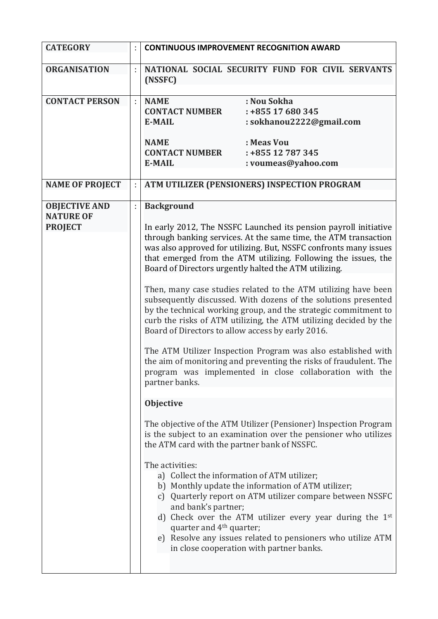| <b>CATEGORY</b>                                            | <b>CONTINUOUS IMPROVEMENT RECOGNITION AWARD</b>                                                                                                                                                                                                                                                                                                                                                                                                                                                                                                                                                                                                                                                                                                                                                                                                                                                                                                                                                                                                                                                                                                                                                                                                                                                                                                                                                                                                                                                                                                     |
|------------------------------------------------------------|-----------------------------------------------------------------------------------------------------------------------------------------------------------------------------------------------------------------------------------------------------------------------------------------------------------------------------------------------------------------------------------------------------------------------------------------------------------------------------------------------------------------------------------------------------------------------------------------------------------------------------------------------------------------------------------------------------------------------------------------------------------------------------------------------------------------------------------------------------------------------------------------------------------------------------------------------------------------------------------------------------------------------------------------------------------------------------------------------------------------------------------------------------------------------------------------------------------------------------------------------------------------------------------------------------------------------------------------------------------------------------------------------------------------------------------------------------------------------------------------------------------------------------------------------------|
| <b>ORGANISATION</b>                                        | NATIONAL SOCIAL SECURITY FUND FOR CIVIL SERVANTS<br>(NSSFC)                                                                                                                                                                                                                                                                                                                                                                                                                                                                                                                                                                                                                                                                                                                                                                                                                                                                                                                                                                                                                                                                                                                                                                                                                                                                                                                                                                                                                                                                                         |
| <b>CONTACT PERSON</b>                                      | : Nou Sokha<br><b>NAME</b><br>$: +85517680345$<br><b>CONTACT NUMBER</b><br>: sokhanou2222@gmail.com<br><b>E-MAIL</b><br>: Meas Vou<br><b>NAME</b><br>$: +85512787345$<br><b>CONTACT NUMBER</b><br><b>E-MAIL</b><br>: voumeas@yahoo.com                                                                                                                                                                                                                                                                                                                                                                                                                                                                                                                                                                                                                                                                                                                                                                                                                                                                                                                                                                                                                                                                                                                                                                                                                                                                                                              |
| <b>NAME OF PROJECT</b>                                     | ATM UTILIZER (PENSIONERS) INSPECTION PROGRAM                                                                                                                                                                                                                                                                                                                                                                                                                                                                                                                                                                                                                                                                                                                                                                                                                                                                                                                                                                                                                                                                                                                                                                                                                                                                                                                                                                                                                                                                                                        |
| <b>OBJECTIVE AND</b><br><b>NATURE OF</b><br><b>PROJECT</b> | <b>Background</b><br>In early 2012, The NSSFC Launched its pension payroll initiative<br>through banking services. At the same time, the ATM transaction<br>was also approved for utilizing. But, NSSFC confronts many issues<br>that emerged from the ATM utilizing. Following the issues, the<br>Board of Directors urgently halted the ATM utilizing.<br>Then, many case studies related to the ATM utilizing have been<br>subsequently discussed. With dozens of the solutions presented<br>by the technical working group, and the strategic commitment to<br>curb the risks of ATM utilizing, the ATM utilizing decided by the<br>Board of Directors to allow access by early 2016.<br>The ATM Utilizer Inspection Program was also established with<br>the aim of monitoring and preventing the risks of fraudulent. The<br>program was implemented in close collaboration with the<br>partner banks.<br><b>Objective</b><br>The objective of the ATM Utilizer (Pensioner) Inspection Program<br>is the subject to an examination over the pensioner who utilizes<br>the ATM card with the partner bank of NSSFC.<br>The activities:<br>a) Collect the information of ATM utilizer;<br>b) Monthly update the information of ATM utilizer;<br>c) Quarterly report on ATM utilizer compare between NSSFC<br>and bank's partner;<br>d) Check over the ATM utilizer every year during the 1st<br>quarter and 4 <sup>th</sup> quarter;<br>e) Resolve any issues related to pensioners who utilize ATM<br>in close cooperation with partner banks. |